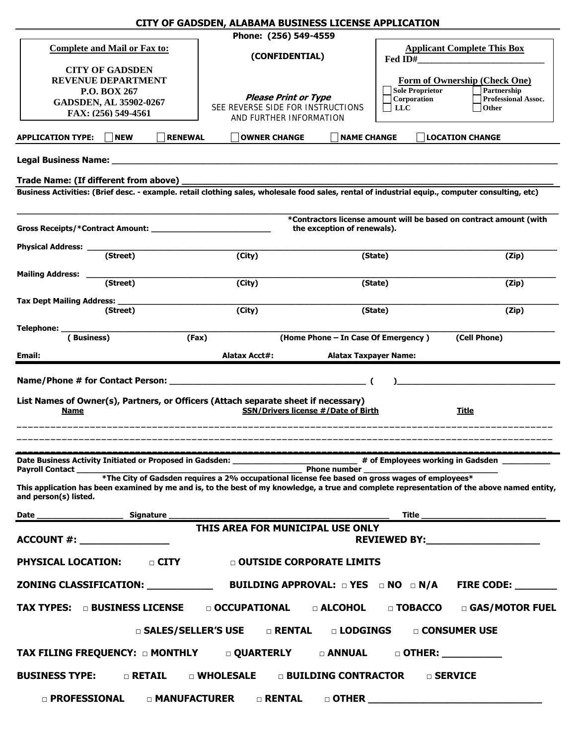|                                                                                                                                                                      | CITY OF GADSDEN, ALABAMA BUSINESS LICENSE APPLICATION                                             |                                     |                                                                                                                                                                                                                                |
|----------------------------------------------------------------------------------------------------------------------------------------------------------------------|---------------------------------------------------------------------------------------------------|-------------------------------------|--------------------------------------------------------------------------------------------------------------------------------------------------------------------------------------------------------------------------------|
| <b>Complete and Mail or Fax to:</b>                                                                                                                                  | Phone: (256) 549-4559                                                                             |                                     |                                                                                                                                                                                                                                |
|                                                                                                                                                                      | (CONFIDENTIAL)                                                                                    | Fed ID#                             | <b>Applicant Complete This Box</b>                                                                                                                                                                                             |
| <b>CITY OF GADSDEN</b><br><b>REVENUE DEPARTMENT</b><br>P.O. BOX 267                                                                                                  |                                                                                                   | Sole Proprietor                     | Form of Ownership (Check One)<br>Partnership                                                                                                                                                                                   |
| <b>GADSDEN, AL 35902-0267</b>                                                                                                                                        | <b>Please Print or Type</b>                                                                       | Corporation                         | <b>Professional Assoc.</b>                                                                                                                                                                                                     |
| FAX: (256) 549-4561                                                                                                                                                  | SEE REVERSE SIDE FOR INSTRUCTIONS<br>AND FURTHER INFORMATION                                      | <b>LLC</b>                          | Other                                                                                                                                                                                                                          |
| <b>NEW</b><br><b>APPLICATION TYPE:</b>                                                                                                                               | <b>RENEWAL</b><br><b>OWNER CHANGE</b>                                                             | <b>NAME CHANGE</b>                  | <b>LOCATION CHANGE</b>                                                                                                                                                                                                         |
| Legal Business Name: ______                                                                                                                                          |                                                                                                   |                                     |                                                                                                                                                                                                                                |
| Trade Name: (If different from above)                                                                                                                                |                                                                                                   |                                     |                                                                                                                                                                                                                                |
| Business Activities: (Brief desc. - example. retail clothing sales, wholesale food sales, rental of industrial equip., computer consulting, etc)                     |                                                                                                   |                                     |                                                                                                                                                                                                                                |
|                                                                                                                                                                      | *Contractors license amount will be based on contract amount (with<br>the exception of renewals). |                                     |                                                                                                                                                                                                                                |
| <b>Physical Address:</b><br>(Street)                                                                                                                                 | (City)                                                                                            | (State)                             | (Zip)                                                                                                                                                                                                                          |
|                                                                                                                                                                      |                                                                                                   |                                     |                                                                                                                                                                                                                                |
| <b>Mailing Address:</b><br>(Street)                                                                                                                                  | (City)                                                                                            | (State)                             | (Zip)                                                                                                                                                                                                                          |
| Tax Dept Mailing Address:<br>(Street)                                                                                                                                | (City)                                                                                            | (State)                             | (Zip)                                                                                                                                                                                                                          |
| Telephone: _                                                                                                                                                         |                                                                                                   |                                     |                                                                                                                                                                                                                                |
| (Business)                                                                                                                                                           | (Fax)                                                                                             | (Home Phone - In Case Of Emergency) | (Cell Phone)                                                                                                                                                                                                                   |
| Email:                                                                                                                                                               | <b>Alatax Acct#:</b>                                                                              | <b>Alatax Taxpayer Name:</b>        |                                                                                                                                                                                                                                |
| List Names of Owner(s), Partners, or Officers (Attach separate sheet if necessary)<br><u>Name</u>                                                                    | <b>SSN/Drivers license #/Date of Birth</b>                                                        |                                     | <u>Title</u>                                                                                                                                                                                                                   |
|                                                                                                                                                                      |                                                                                                   |                                     |                                                                                                                                                                                                                                |
| Date Business Activity Initiated or Proposed in Gadsden: _______________________<br>Payroll Contact                                                                  |                                                                                                   | <b>Phone number</b>                 | # of Employees working in Gadsden _____                                                                                                                                                                                        |
| This application has been examined by me and is, to the best of my knowledge, a true and complete representation of the above named entity,<br>and person(s) listed. | *The City of Gadsden requires a 2% occupational license fee based on gross wages of employees*    |                                     |                                                                                                                                                                                                                                |
|                                                                                                                                                                      |                                                                                                   |                                     |                                                                                                                                                                                                                                |
|                                                                                                                                                                      | THIS AREA FOR MUNICIPAL USE ONLY                                                                  |                                     | REVIEWED BY: New York Products and American Control of the American Control of the American Control of the American Control of the American Control of the American Control of the American Control of the American Control of |
| <b>PHYSICAL LOCATION: DIGITY</b>                                                                                                                                     | <b>Q OUTSIDE CORPORATE LIMITS</b>                                                                 |                                     |                                                                                                                                                                                                                                |
|                                                                                                                                                                      |                                                                                                   |                                     |                                                                                                                                                                                                                                |
| TAX TYPES: consiness license                                                                                                                                         |                                                                                                   |                                     | □ OCCUPATIONAL □ ALCOHOL □ TOBACCO □ GAS/MOTOR FUEL                                                                                                                                                                            |
|                                                                                                                                                                      | □ SALES/SELLER'S USE<br>$\Box$ RENTAL                                                             | <b>D</b> LODGINGS                   | □ CONSUMER USE                                                                                                                                                                                                                 |
|                                                                                                                                                                      |                                                                                                   |                                     |                                                                                                                                                                                                                                |
| $\Box$ RETAIL<br><b>BUSINESS TYPE:</b>                                                                                                                               | $\Box$ WHOLESALE $\Box$ BUILDING CONTRACTOR                                                       |                                     | □ SERVICE                                                                                                                                                                                                                      |
| <b>D</b> PROFESSIONAL                                                                                                                                                | $\Box$ MANUFACTURER $\Box$ RENTAL                                                                 |                                     |                                                                                                                                                                                                                                |